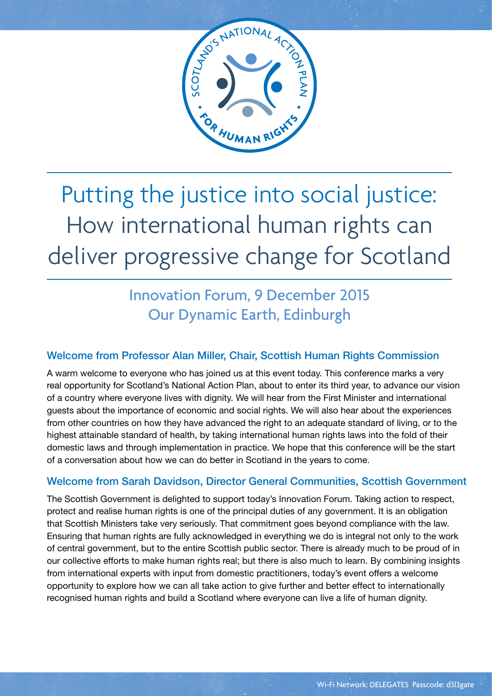

## Putting the justice into social justice: How international human rights can deliver progressive change for Scotland

## Innovation Forum, 9 December 2015 Our Dynamic Earth, Edinburgh

### Welcome from Professor Alan Miller, Chair, Scottish Human Rights Commission

A warm welcome to everyone who has joined us at this event today. This conference marks a very real opportunity for Scotland's National Action Plan, about to enter its third year, to advance our vision of a country where everyone lives with dignity. We will hear from the First Minister and international guests about the importance of economic and social rights. We will also hear about the experiences from other countries on how they have advanced the right to an adequate standard of living, or to the highest attainable standard of health, by taking international human rights laws into the fold of their domestic laws and through implementation in practice. We hope that this conference will be the start of a conversation about how we can do better in Scotland in the years to come.

### Welcome from Sarah Davidson, Director General Communities, Scottish Government

The Scottish Government is delighted to support today's Innovation Forum. Taking action to respect, protect and realise human rights is one of the principal duties of any government. It is an obligation that Scottish Ministers take very seriously. That commitment goes beyond compliance with the law. Ensuring that human rights are fully acknowledged in everything we do is integral not only to the work of central government, but to the entire Scottish public sector. There is already much to be proud of in our collective efforts to make human rights real; but there is also much to learn. By combining insights from international experts with input from domestic practitioners, today's event offers a welcome opportunity to explore how we can all take action to give further and better effect to internationally recognised human rights and build a Scotland where everyone can live a life of human dignity.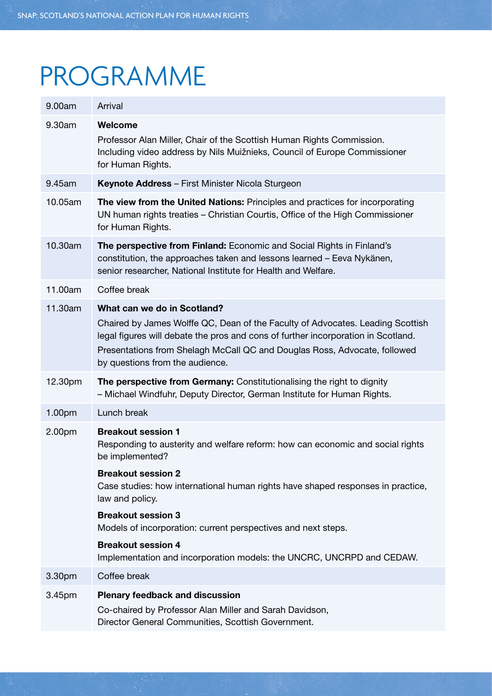# PROGRAMME

| 9.00am  | Arrival                                                                                                                                                                                                                                                                                                            |
|---------|--------------------------------------------------------------------------------------------------------------------------------------------------------------------------------------------------------------------------------------------------------------------------------------------------------------------|
| 9.30am  | Welcome<br>Professor Alan Miller, Chair of the Scottish Human Rights Commission.<br>Including video address by Nils Muižnieks, Council of Europe Commissioner<br>for Human Rights.                                                                                                                                 |
| 9.45am  | Keynote Address - First Minister Nicola Sturgeon                                                                                                                                                                                                                                                                   |
| 10.05am | The view from the United Nations: Principles and practices for incorporating<br>UN human rights treaties – Christian Courtis, Office of the High Commissioner<br>for Human Rights.                                                                                                                                 |
| 10.30am | The perspective from Finland: Economic and Social Rights in Finland's<br>constitution, the approaches taken and lessons learned - Eeva Nykänen,<br>senior researcher, National Institute for Health and Welfare.                                                                                                   |
| 11.00am | Coffee break                                                                                                                                                                                                                                                                                                       |
| 11.30am | What can we do in Scotland?<br>Chaired by James Wolffe QC, Dean of the Faculty of Advocates. Leading Scottish<br>legal figures will debate the pros and cons of further incorporation in Scotland.<br>Presentations from Shelagh McCall QC and Douglas Ross, Advocate, followed<br>by questions from the audience. |
| 12.30pm | The perspective from Germany: Constitutionalising the right to dignity<br>- Michael Windfuhr, Deputy Director, German Institute for Human Rights.                                                                                                                                                                  |
| 1.00pm  | Lunch break                                                                                                                                                                                                                                                                                                        |
| 2.00pm  | <b>Breakout session 1</b><br>Responding to austerity and welfare reform: how can economic and social rights<br>be implemented?                                                                                                                                                                                     |
|         | <b>Breakout session 2</b><br>Case studies: how international human rights have shaped responses in practice,<br>law and policy.                                                                                                                                                                                    |
|         | <b>Breakout session 3</b><br>Models of incorporation: current perspectives and next steps.                                                                                                                                                                                                                         |
|         | <b>Breakout session 4</b><br>Implementation and incorporation models: the UNCRC, UNCRPD and CEDAW.                                                                                                                                                                                                                 |
| 3.30pm  | Coffee break                                                                                                                                                                                                                                                                                                       |
| 3.45pm  | <b>Plenary feedback and discussion</b><br>Co-chaired by Professor Alan Miller and Sarah Davidson,<br>Director General Communities, Scottish Government.                                                                                                                                                            |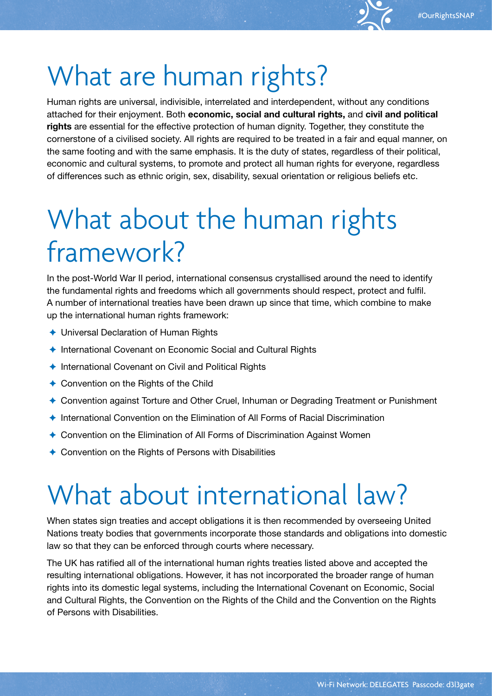# What are human rights?

Human rights are universal, indivisible, interrelated and interdependent, without any conditions attached for their enjoyment. Both **economic, social and cultural rights,** and **civil and political rights** are essential for the effective protection of human dignity. Together, they constitute the cornerstone of a civilised society. All rights are required to be treated in a fair and equal manner, on the same footing and with the same emphasis. It is the duty of states, regardless of their political, economic and cultural systems, to promote and protect all human rights for everyone, regardless of differences such as ethnic origin, sex, disability, sexual orientation or religious beliefs etc.

# What about the human rights framework?

In the post-World War II period, international consensus crystallised around the need to identify the fundamental rights and freedoms which all governments should respect, protect and fulfil. A number of international treaties have been drawn up since that time, which combine to make up the international human rights framework:

- ✦ Universal Declaration of Human Rights
- ✦ International Covenant on Economic Social and Cultural Rights
- ✦ International Covenant on Civil and Political Rights
- ✦ Convention on the Rights of the Child
- ✦ Convention against Torture and Other Cruel, Inhuman or Degrading Treatment or Punishment
- ✦ International Convention on the Elimination of All Forms of Racial Discrimination
- ✦ Convention on the Elimination of All Forms of Discrimination Against Women
- ✦ Convention on the Rights of Persons with Disabilities

# What about international law?

When states sign treaties and accept obligations it is then recommended by overseeing United Nations treaty bodies that governments incorporate those standards and obligations into domestic law so that they can be enforced through courts where necessary.

The UK has ratified all of the international human rights treaties listed above and accepted the resulting international obligations. However, it has not incorporated the broader range of human rights into its domestic legal systems, including the International Covenant on Economic, Social and Cultural Rights, the Convention on the Rights of the Child and the Convention on the Rights of Persons with Disabilities.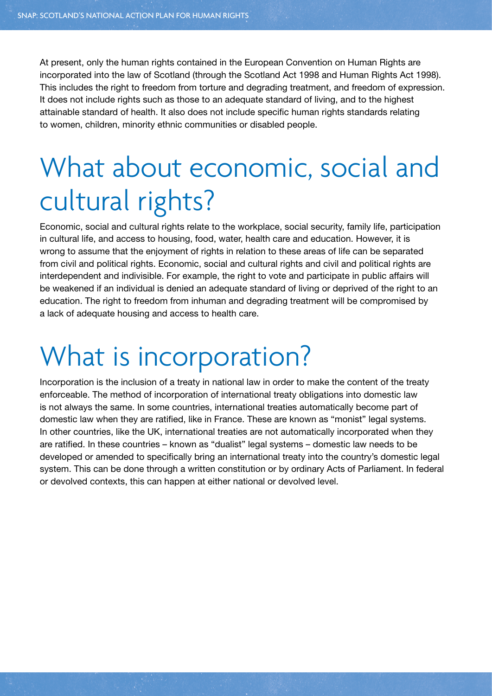At present, only the human rights contained in the European Convention on Human Rights are incorporated into the law of Scotland (through the Scotland Act 1998 and Human Rights Act 1998). This includes the right to freedom from torture and degrading treatment, and freedom of expression. It does not include rights such as those to an adequate standard of living, and to the highest attainable standard of health. It also does not include specific human rights standards relating to women, children, minority ethnic communities or disabled people.

# What about economic, social and cultural rights?

Economic, social and cultural rights relate to the workplace, social security, family life, participation in cultural life, and access to housing, food, water, health care and education. However, it is wrong to assume that the enjoyment of rights in relation to these areas of life can be separated from civil and political rights. Economic, social and cultural rights and civil and political rights are interdependent and indivisible. For example, the right to vote and participate in public affairs will be weakened if an individual is denied an adequate standard of living or deprived of the right to an education. The right to freedom from inhuman and degrading treatment will be compromised by a lack of adequate housing and access to health care.

## What is incorporation?

Incorporation is the inclusion of a treaty in national law in order to make the content of the treaty enforceable. The method of incorporation of international treaty obligations into domestic law is not always the same. In some countries, international treaties automatically become part of domestic law when they are ratified, like in France. These are known as "monist" legal systems. In other countries, like the UK, international treaties are not automatically incorporated when they are ratified. In these countries – known as "dualist" legal systems – domestic law needs to be developed or amended to specifically bring an international treaty into the country's domestic legal system. This can be done through a written constitution or by ordinary Acts of Parliament. In federal or devolved contexts, this can happen at either national or devolved level.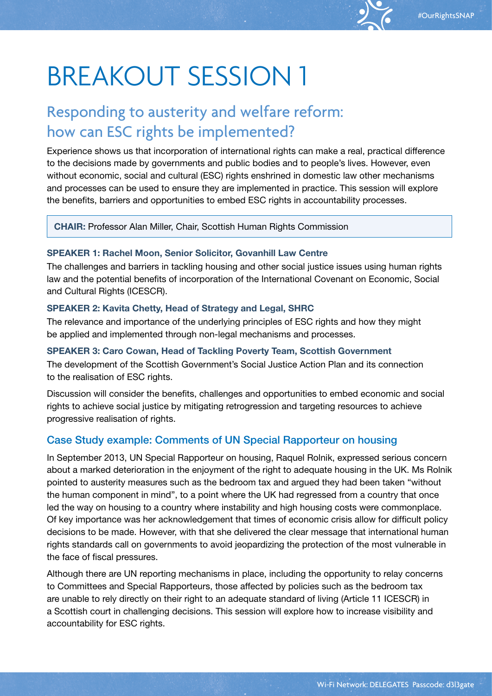## Responding to austerity and welfare reform: how can ESC rights be implemented?

Experience shows us that incorporation of international rights can make a real, practical difference to the decisions made by governments and public bodies and to people's lives. However, even without economic, social and cultural (ESC) rights enshrined in domestic law other mechanisms and processes can be used to ensure they are implemented in practice. This session will explore the benefits, barriers and opportunities to embed ESC rights in accountability processes.

**CHAIR:** Professor Alan Miller, Chair, Scottish Human Rights Commission

#### **SPEAKER 1: Rachel Moon, Senior Solicitor, Govanhill Law Centre**

The challenges and barriers in tackling housing and other social justice issues using human rights law and the potential benefits of incorporation of the International Covenant on Economic, Social and Cultural Rights (ICESCR).

#### **SPEAKER 2: Kavita Chetty, Head of Strategy and Legal, SHRC**

The relevance and importance of the underlying principles of ESC rights and how they might be applied and implemented through non-legal mechanisms and processes.

#### **SPEAKER 3: Caro Cowan, Head of Tackling Poverty Team, Scottish Government**

The development of the Scottish Government's Social Justice Action Plan and its connection to the realisation of ESC rights.

Discussion will consider the benefits, challenges and opportunities to embed economic and social rights to achieve social justice by mitigating retrogression and targeting resources to achieve progressive realisation of rights.

### Case Study example: Comments of UN Special Rapporteur on housing

In September 2013, UN Special Rapporteur on housing, Raquel Rolnik, expressed serious concern about a marked deterioration in the enjoyment of the right to adequate housing in the UK. Ms Rolnik pointed to austerity measures such as the bedroom tax and argued they had been taken "without the human component in mind", to a point where the UK had regressed from a country that once led the way on housing to a country where instability and high housing costs were commonplace. Of key importance was her acknowledgement that times of economic crisis allow for difficult policy decisions to be made. However, with that she delivered the clear message that international human rights standards call on governments to avoid jeopardizing the protection of the most vulnerable in the face of fiscal pressures.

Although there are UN reporting mechanisms in place, including the opportunity to relay concerns to Committees and Special Rapporteurs, those affected by policies such as the bedroom tax are unable to rely directly on their right to an adequate standard of living (Article 11 ICESCR) in a Scottish court in challenging decisions. This session will explore how to increase visibility and accountability for ESC rights.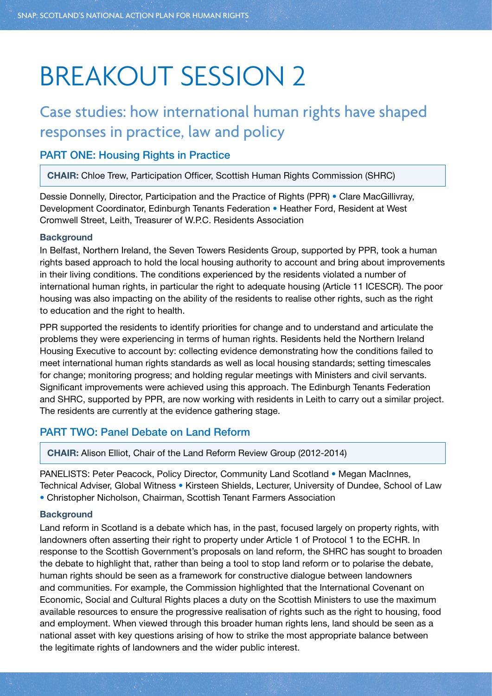## Case studies: how international human rights have shaped responses in practice, law and policy

### PART ONE: Housing Rights in Practice

**CHAIR:** Chloe Trew, Participation Officer, Scottish Human Rights Commission (SHRC)

Dessie Donnelly, Director, Participation and the Practice of Rights (PPR) • Clare MacGillivray, Development Coordinator, Edinburgh Tenants Federation • Heather Ford, Resident at West Cromwell Street, Leith, Treasurer of W.P.C. Residents Association

#### **Background**

In Belfast, Northern Ireland, the Seven Towers Residents Group, supported by PPR, took a human rights based approach to hold the local housing authority to account and bring about improvements in their living conditions. The conditions experienced by the residents violated a number of international human rights, in particular the right to adequate housing (Article 11 ICESCR). The poor housing was also impacting on the ability of the residents to realise other rights, such as the right to education and the right to health.

PPR supported the residents to identify priorities for change and to understand and articulate the problems they were experiencing in terms of human rights. Residents held the Northern Ireland Housing Executive to account by: collecting evidence demonstrating how the conditions failed to meet international human rights standards as well as local housing standards; setting timescales for change; monitoring progress; and holding regular meetings with Ministers and civil servants. Significant improvements were achieved using this approach. The Edinburgh Tenants Federation and SHRC, supported by PPR, are now working with residents in Leith to carry out a similar project. The residents are currently at the evidence gathering stage.

### PART TWO: Panel Debate on Land Reform

**CHAIR:** Alison Elliot, Chair of the Land Reform Review Group (2012-2014)

PANELISTS: Peter Peacock, Policy Director, Community Land Scotland • Megan MacInnes, Technical Adviser, Global Witness • Kirsteen Shields, Lecturer, University of Dundee, School of Law • Christopher Nicholson, Chairman, Scottish Tenant Farmers Association

#### **Background**

Land reform in Scotland is a debate which has, in the past, focused largely on property rights, with landowners often asserting their right to property under Article 1 of Protocol 1 to the ECHR. In response to the Scottish Government's proposals on land reform, the SHRC has sought to broaden the debate to highlight that, rather than being a tool to stop land reform or to polarise the debate, human rights should be seen as a framework for constructive dialogue between landowners and communities. For example, the Commission highlighted that the International Covenant on Economic, Social and Cultural Rights places a duty on the Scottish Ministers to use the maximum available resources to ensure the progressive realisation of rights such as the right to housing, food and employment. When viewed through this broader human rights lens, land should be seen as a national asset with key questions arising of how to strike the most appropriate balance between the legitimate rights of landowners and the wider public interest.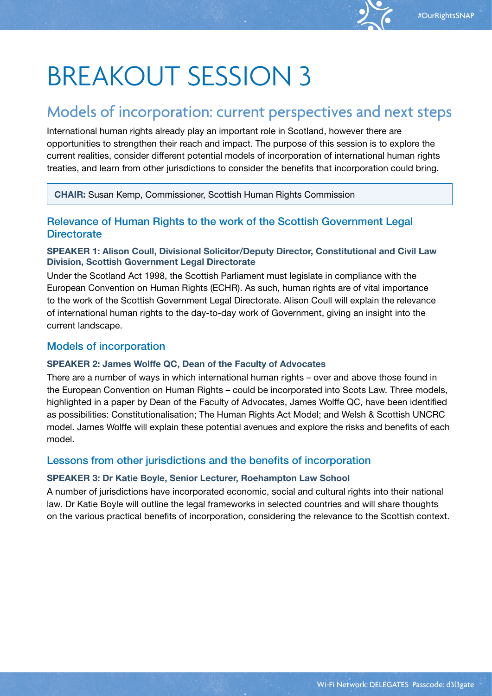### Models of incorporation: current perspectives and next steps

International human rights already play an important role in Scotland, however there are opportunities to strengthen their reach and impact. The purpose of this session is to explore the current realities, consider different potential models of incorporation of international human rights treaties, and learn from other jurisdictions to consider the benefits that incorporation could bring.

**CHAIR:** Susan Kemp, Commissioner, Scottish Human Rights Commission

### Relevance of Human Rights to the work of the Scottish Government Legal **Directorate**

#### **SPEAKER 1: Alison Coull, Divisional Solicitor/Deputy Director, Constitutional and Civil Law Division, Scottish Government Legal Directorate**

Under the Scotland Act 1998, the Scottish Parliament must legislate in compliance with the European Convention on Human Rights (ECHR). As such, human rights are of vital importance to the work of the Scottish Government Legal Directorate. Alison Coull will explain the relevance of international human rights to the day-to-day work of Government, giving an insight into the current landscape.

#### Models of incorporation

#### **SPEAKER 2: James Wolffe QC, Dean of the Faculty of Advocates**

There are a number of ways in which international human rights – over and above those found in the European Convention on Human Rights – could be incorporated into Scots Law. Three models, highlighted in a paper by Dean of the Faculty of Advocates, James Wolffe QC, have been identified as possibilities: Constitutionalisation; The Human Rights Act Model; and Welsh & Scottish UNCRC model. James Wolffe will explain these potential avenues and explore the risks and benefits of each model.

### Lessons from other jurisdictions and the benefits of incorporation

#### **SPEAKER 3: Dr Katie Boyle, Senior Lecturer, Roehampton Law School**

A number of jurisdictions have incorporated economic, social and cultural rights into their national law. Dr Katie Boyle will outline the legal frameworks in selected countries and will share thoughts on the various practical benefits of incorporation, considering the relevance to the Scottish context.